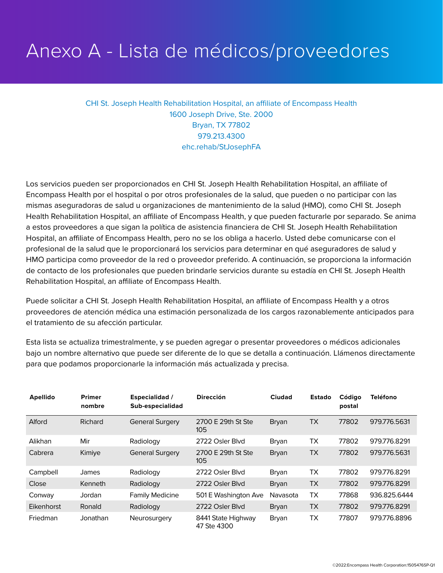## Anexo A - Lista de médicos/proveedores

CHI St. Joseph Health Rehabilitation Hospital, an affiliate of Encompass Health 1600 Joseph Drive, Ste. 2000 Bryan, TX 77802 979.213.4300 ehc.rehab/StJosephFA

Los servicios pueden ser proporcionados en CHI St. Joseph Health Rehabilitation Hospital, an affiliate of Encompass Health por el hospital o por otros profesionales de la salud, que pueden o no participar con las mismas aseguradoras de salud u organizaciones de mantenimiento de la salud (HMO), como CHI St. Joseph Health Rehabilitation Hospital, an affiliate of Encompass Health, y que pueden facturarle por separado. Se anima a estos proveedores a que sigan la política de asistencia financiera de CHI St. Joseph Health Rehabilitation Hospital, an affiliate of Encompass Health, pero no se los obliga a hacerlo. Usted debe comunicarse con el profesional de la salud que le proporcionará los servicios para determinar en qué aseguradores de salud y HMO participa como proveedor de la red o proveedor preferido. A continuación, se proporciona la información de contacto de los profesionales que pueden brindarle servicios durante su estadía en CHI St. Joseph Health Rehabilitation Hospital, an affiliate of Encompass Health.

Puede solicitar a CHI St. Joseph Health Rehabilitation Hospital, an affiliate of Encompass Health y a otros proveedores de atención médica una estimación personalizada de los cargos razonablemente anticipados para el tratamiento de su afección particular.

Esta lista se actualiza trimestralmente, y se pueden agregar o presentar proveedores o médicos adicionales bajo un nombre alternativo que puede ser diferente de lo que se detalla a continuación. Llámenos directamente para que podamos proporcionarle la información más actualizada y precisa.

| <b>Apellido</b> | <b>Primer</b><br>nombre | <b>Especialidad</b> /<br>Sub-especialidad | <b>Dirección</b>                  | Ciudad       | <b>Estado</b> | Código<br>postal | <b>Teléfono</b> |
|-----------------|-------------------------|-------------------------------------------|-----------------------------------|--------------|---------------|------------------|-----------------|
| Alford          | Richard                 | <b>General Surgery</b>                    | 2700 E 29th St Ste<br>105         | Bryan        | <b>TX</b>     | 77802            | 979.776.5631    |
| Alikhan         | Mir                     | Radiology                                 | 2722 Osler Blvd                   | Bryan        | ТX            | 77802            | 979.776.8291    |
| Cabrera         | Kimiye                  | <b>General Surgery</b>                    | 2700 E 29th St Ste<br>105         | <b>Bryan</b> | <b>TX</b>     | 77802            | 979.776.5631    |
| Campbell        | James                   | Radiology                                 | 2722 Osler Blvd                   | Bryan        | TX            | 77802            | 979.776.8291    |
| Close           | Kenneth                 | Radiology                                 | 2722 Osler Blvd                   | Bryan        | <b>TX</b>     | 77802            | 979.776.8291    |
| Conway          | Jordan                  | <b>Family Medicine</b>                    | 501 E Washington Ave              | Navasota     | ТX            | 77868            | 936.825.6444    |
| Eikenhorst      | Ronald                  | Radiology                                 | 2722 Osler Blvd                   | Bryan        | <b>TX</b>     | 77802            | 979.776.8291    |
| Friedman        | Jonathan                | Neurosurgery                              | 8441 State Highway<br>47 Ste 4300 | Bryan        | TX            | 77807            | 979.776.8896    |